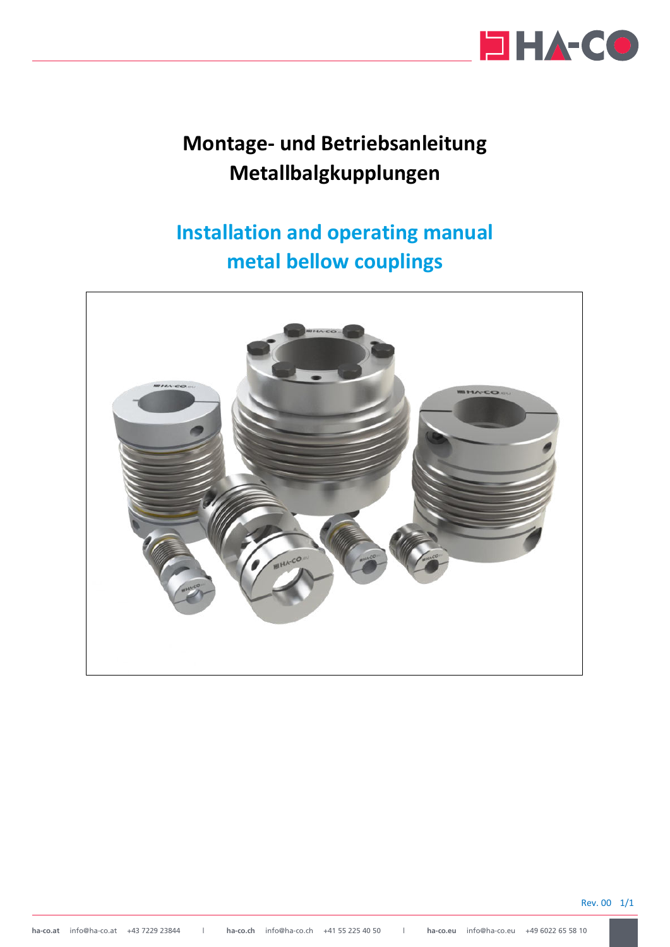

# **Montage- und Betriebsanleitung Metallbalgkupplungen**

# **Installation and operating manual metal bellow couplings**



Rev. 00 1/1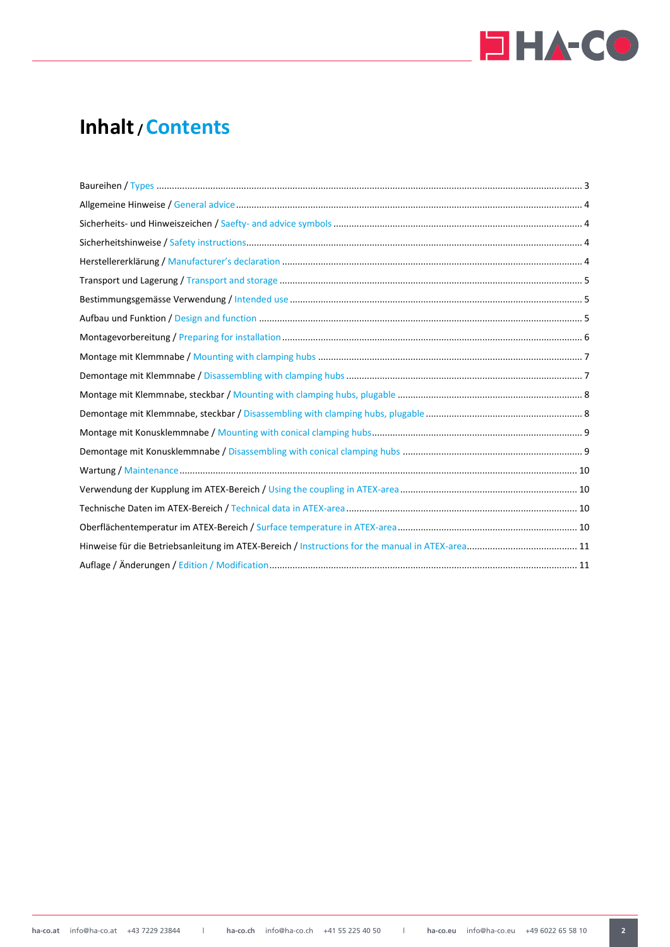

# **Inhalt / Contents**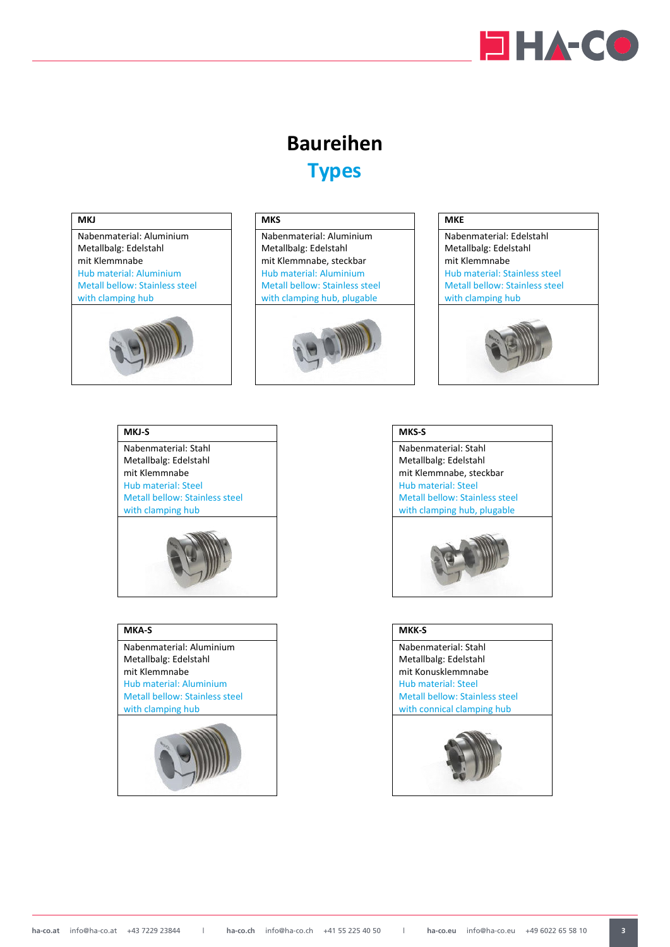

# **Baureihen Types**

# <span id="page-2-0"></span>**MKJ**





# **MKS**

Nabenmaterial: Aluminium Metallbalg: Edelstahl mit Klemmnabe, steckbar Hub material: Aluminium Metall bellow: Stainless steel with clamping hub, plugable



# **MKE**



# **MKJ-S**

Nabenmaterial: Stahl Metallbalg: Edelstahl mit Klemmnabe Hub material: Steel Metall bellow: Stainless steel with clamping hub



# **MKA-S**

Nabenmaterial: Aluminium Metallbalg: Edelstahl mit Klemmnabe Hub material: Aluminium Metall bellow: Stainless steel with clamping hub





Nabenmaterial: Stahl Metallbalg: Edelstahl mit Klemmnabe, steckbar Hub material: Steel Metall bellow: Stainless steel with clamping hub, plugable



# **MKK-S**

Nabenmaterial: Stahl Metallbalg: Edelstahl mit Konusklemmnabe Hub material: Steel Metall bellow: Stainless steel with connical clamping hub

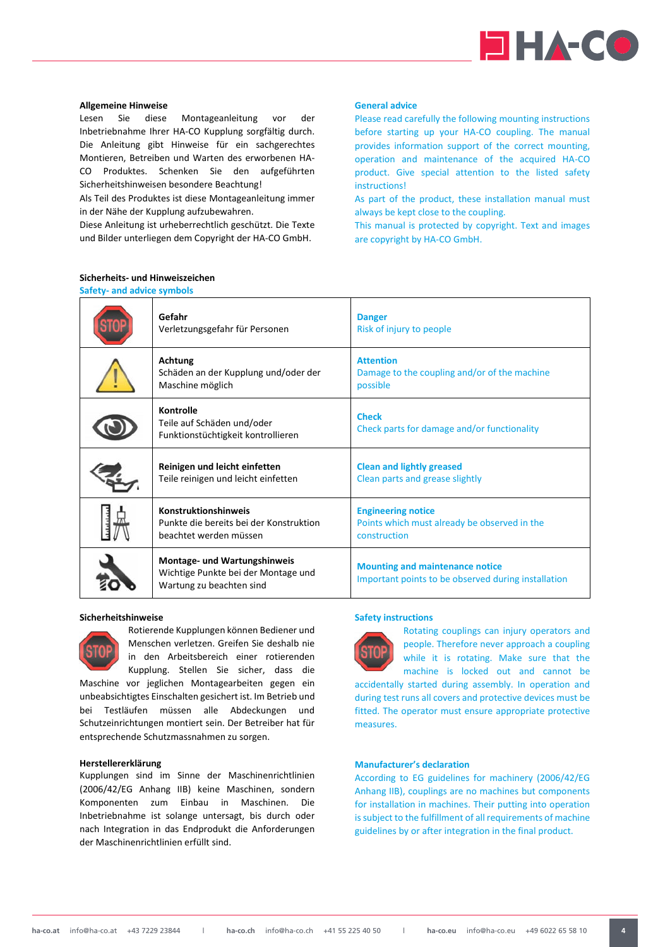

# <span id="page-3-0"></span>**Allgemeine Hinweise**

Lesen Sie diese Montageanleitung vor der Inbetriebnahme Ihrer HA-CO Kupplung sorgfältig durch. Die Anleitung gibt Hinweise für ein sachgerechtes Montieren, Betreiben und Warten des erworbenen HA-CO Produktes. Schenken Sie den aufgeführten Sicherheitshinweisen besondere Beachtung!

Als Teil des Produktes ist diese Montageanleitung immer in der Nähe der Kupplung aufzubewahren.

Diese Anleitung ist urheberrechtlich geschützt. Die Texte und Bilder unterliegen dem Copyright der HA-CO GmbH.

<span id="page-3-1"></span>**Sicherheits- und Hinweiszeichen Safety- and advice symbols** 

# **General advice**

Please read carefully the following mounting instructions before starting up your HA-CO coupling. The manual provides information support of the correct mounting, operation and maintenance of the acquired HA-CO product. Give special attention to the listed safety instructions!

As part of the product, these installation manual must always be kept close to the coupling.

This manual is protected by copyright. Text and images are copyright by HA-CO GmbH.

| Gefahr<br>Verletzungsgefahr für Personen                                                               | <b>Danger</b><br>Risk of injury to people                                                     |
|--------------------------------------------------------------------------------------------------------|-----------------------------------------------------------------------------------------------|
| Achtung<br>Schäden an der Kupplung und/oder der<br>Maschine möglich                                    | <b>Attention</b><br>Damage to the coupling and/or of the machine<br>possible                  |
| Kontrolle<br>Teile auf Schäden und/oder<br>Funktionstüchtigkeit kontrollieren                          | <b>Check</b><br>Check parts for damage and/or functionality                                   |
| Reinigen und leicht einfetten<br>Teile reinigen und leicht einfetten                                   | <b>Clean and lightly greased</b><br>Clean parts and grease slightly                           |
| <b>Konstruktionshinweis</b><br>Punkte die bereits bei der Konstruktion<br>beachtet werden müssen       | <b>Engineering notice</b><br>Points which must already be observed in the<br>construction     |
| <b>Montage- und Wartungshinweis</b><br>Wichtige Punkte bei der Montage und<br>Wartung zu beachten sind | <b>Mounting and maintenance notice</b><br>Important points to be observed during installation |

#### <span id="page-3-2"></span>**Sicherheitshinweise**



Rotierende Kupplungen können Bediener und Menschen verletzen. Greifen Sie deshalb nie in den Arbeitsbereich einer rotierenden Kupplung. Stellen Sie sicher, dass die

Maschine vor jeglichen Montagearbeiten gegen ein unbeabsichtigtes Einschalten gesichert ist. Im Betrieb und bei Testläufen müssen alle Abdeckungen und Schutzeinrichtungen montiert sein. Der Betreiber hat für entsprechende Schutzmassnahmen zu sorgen.

#### <span id="page-3-3"></span>**Herstellererklärung**

Kupplungen sind im Sinne der Maschinenrichtlinien (2006/42/EG Anhang IIB) keine Maschinen, sondern Komponenten zum Einbau in Maschinen. Die Inbetriebnahme ist solange untersagt, bis durch oder nach Integration in das Endprodukt die Anforderungen der Maschinenrichtlinien erfüllt sind.

#### **Safety instructions**



Rotating couplings can injury operators and people. Therefore never approach a coupling while it is rotating. Make sure that the machine is locked out and cannot be

accidentally started during assembly. In operation and during test runs all covers and protective devices must be fitted. The operator must ensure appropriate protective measures.

#### **Manufacturer's declaration**

According to EG guidelines for machinery (2006/42/EG Anhang IIB), couplings are no machines but components for installation in machines. Their putting into operation is subject to the fulfillment of all requirements of machine guidelines by or after integration in the final product.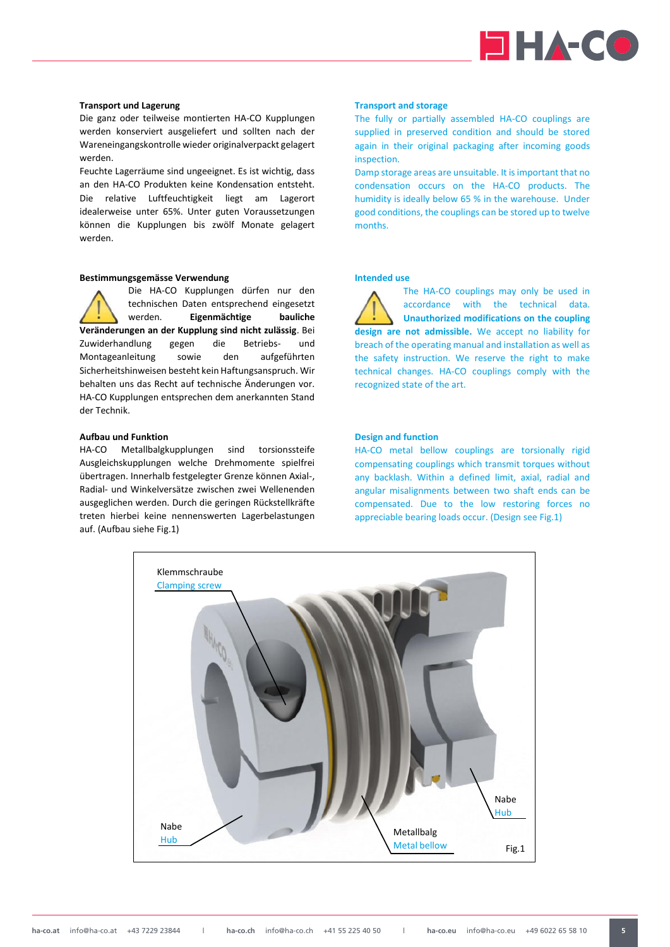

#### <span id="page-4-0"></span>**Transport und Lagerung**

Die ganz oder teilweise montierten HA-CO Kupplungen werden konserviert ausgeliefert und sollten nach der Wareneingangskontrolle wieder originalverpackt gelagert werden.

Feuchte Lagerräume sind ungeeignet. Es ist wichtig, dass an den HA-CO Produkten keine Kondensation entsteht. Die relative Luftfeuchtigkeit liegt am Lagerort idealerweise unter 65%. Unter guten Voraussetzungen können die Kupplungen bis zwölf Monate gelagert werden.

# <span id="page-4-1"></span>**Bestimmungsgemässe Verwendung**

Die HA-CO Kupplungen dürfen nur den technischen Daten entsprechend eingesetzt werden. **Eigenmächtige bauliche Veränderungen an der Kupplung sind nicht zulässig**. Bei Zuwiderhandlung gegen die Betriebs- und Montageanleitung sowie den aufgeführten Sicherheitshinweisen besteht kein Haftungsanspruch. Wir behalten uns das Recht auf technische Änderungen vor. HA-CO Kupplungen entsprechen dem anerkannten Stand der Technik.

## <span id="page-4-2"></span>**Aufbau und Funktion**

HA-CO Metallbalgkupplungen sind torsionssteife Ausgleichskupplungen welche Drehmomente spielfrei übertragen. Innerhalb festgelegter Grenze können Axial-, Radial- und Winkelversätze zwischen zwei Wellenenden ausgeglichen werden. Durch die geringen Rückstellkräfte treten hierbei keine nennenswerten Lagerbelastungen auf. (Aufbau siehe Fig.1)

#### **Transport and storage**

The fully or partially assembled HA-CO couplings are supplied in preserved condition and should be stored again in their original packaging after incoming goods inspection.

Damp storage areas are unsuitable. It is important that no condensation occurs on the HA-CO products. The humidity is ideally below 65 % in the warehouse. Under good conditions, the couplings can be stored up to twelve months.

# **Intended use**

The HA-CO couplings may only be used in accordance with the technical data. **Unauthorized modifications on the coupling design are not admissible.** We accept no liability for breach of the operating manual and installation as well as the safety instruction. We reserve the right to make technical changes. HA-CO couplings comply with the recognized state of the art.

#### **Design and function**

HA-CO metal bellow couplings are torsionally rigid compensating couplings which transmit torques without any backlash. Within a defined limit, axial, radial and angular misalignments between two shaft ends can be compensated. Due to the low restoring forces no appreciable bearing loads occur. (Design see Fig.1)

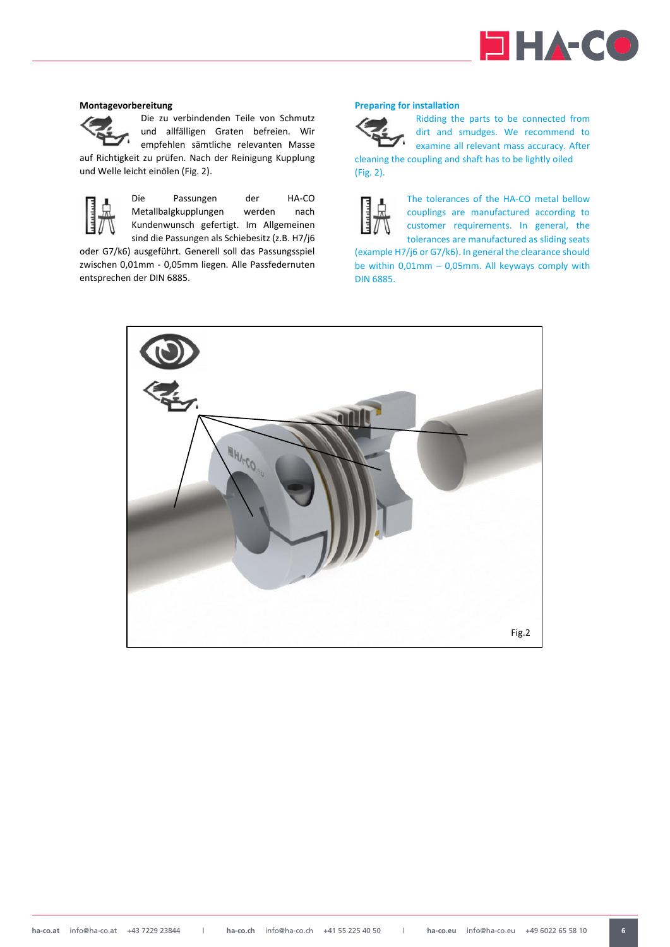

## <span id="page-5-0"></span>**Montagevorbereitung**



Die zu verbindenden Teile von Schmutz und allfälligen Graten befreien. Wir empfehlen sämtliche relevanten Masse

auf Richtigkeit zu prüfen. Nach der Reinigung Kupplung und Welle leicht einölen (Fig. 2).



Die Passungen der HA-CO Metallbalgkupplungen werden nach Kundenwunsch gefertigt. Im Allgemeinen sind die Passungen als Schiebesitz (z.B. H7/j6

oder G7/k6) ausgeführt. Generell soll das Passungsspiel zwischen 0,01mm - 0,05mm liegen. Alle Passfedernuten entsprechen der DIN 6885.

# **Preparing for installation**



(Fig. 2).

Ridding the parts to be connected from dirt and smudges. We recommend to examine all relevant mass accuracy. After cleaning the coupling and shaft has to be lightly oiled

The tolerances of the HA-CO metal bellow couplings are manufactured according to customer requirements. In general, the tolerances are manufactured as sliding seats

(example H7/j6 or G7/k6). In general the clearance should be within 0,01mm – 0,05mm. All keyways comply with DIN 6885.

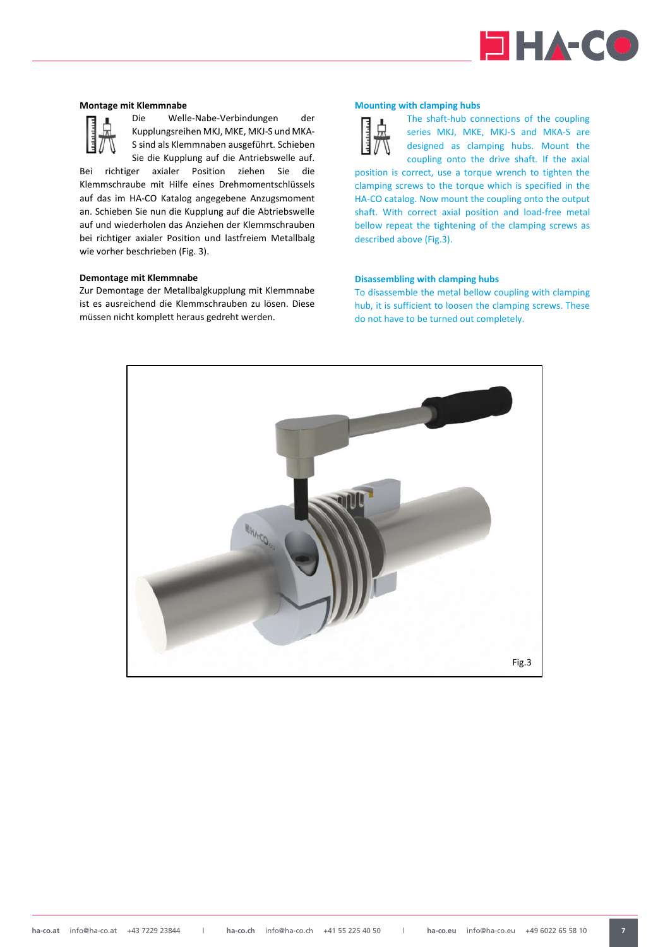

# <span id="page-6-0"></span>**Montage mit Klemmnabe**



Die Welle-Nabe-Verbindungen der Kupplungsreihen MKJ, MKE, MKJ-S und MKA-S sind als Klemmnaben ausgeführt. Schieben Sie die Kupplung auf die Antriebswelle auf.

Bei richtiger axialer Position ziehen Sie die Klemmschraube mit Hilfe eines Drehmomentschlüssels auf das im HA-CO Katalog angegebene Anzugsmoment an. Schieben Sie nun die Kupplung auf die Abtriebswelle auf und wiederholen das Anziehen der Klemmschrauben bei richtiger axialer Position und lastfreiem Metallbalg wie vorher beschrieben (Fig. 3).

#### <span id="page-6-1"></span>**Demontage mit Klemmnabe**

Zur Demontage der Metallbalgkupplung mit Klemmnabe ist es ausreichend die Klemmschrauben zu lösen. Diese müssen nicht komplett heraus gedreht werden.

# **Mounting with clamping hubs**



The shaft-hub connections of the coupling series MKJ, MKE, MKJ-S and MKA-S are designed as clamping hubs. Mount the coupling onto the drive shaft. If the axial

position is correct, use a torque wrench to tighten the clamping screws to the torque which is specified in the HA-CO catalog. Now mount the coupling onto the output shaft. With correct axial position and load-free metal bellow repeat the tightening of the clamping screws as described above (Fig.3).

# **Disassembling with clamping hubs**

To disassemble the metal bellow coupling with clamping hub, it is sufficient to loosen the clamping screws. These do not have to be turned out completely.

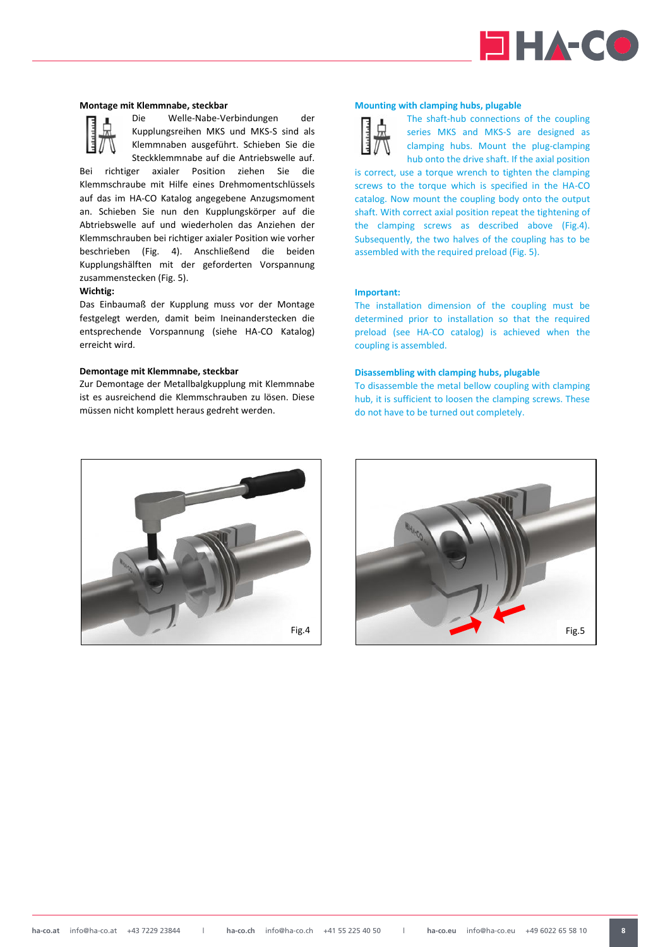

#### <span id="page-7-0"></span>**Montage mit Klemmnabe, steckbar**



Die Welle-Nabe-Verbindungen der Kupplungsreihen MKS und MKS-S sind als Klemmnaben ausgeführt. Schieben Sie die Steckklemmnabe auf die Antriebswelle auf.

Bei richtiger axialer Position ziehen Sie die Klemmschraube mit Hilfe eines Drehmomentschlüssels auf das im HA-CO Katalog angegebene Anzugsmoment an. Schieben Sie nun den Kupplungskörper auf die Abtriebswelle auf und wiederholen das Anziehen der Klemmschrauben bei richtiger axialer Position wie vorher beschrieben (Fig. 4). Anschließend die beiden Kupplungshälften mit der geforderten Vorspannung zusammenstecken (Fig. 5).

# **Wichtig:**

Das Einbaumaß der Kupplung muss vor der Montage festgelegt werden, damit beim Ineinanderstecken die entsprechende Vorspannung (siehe HA-CO Katalog) erreicht wird.

#### <span id="page-7-1"></span>**Demontage mit Klemmnabe, steckbar**

Zur Demontage der Metallbalgkupplung mit Klemmnabe ist es ausreichend die Klemmschrauben zu lösen. Diese müssen nicht komplett heraus gedreht werden.

# **Mounting with clamping hubs, plugable**



The shaft-hub connections of the coupling series MKS and MKS-S are designed as clamping hubs. Mount the plug-clamping hub onto the drive shaft. If the axial position

is correct, use a torque wrench to tighten the clamping screws to the torque which is specified in the HA-CO catalog. Now mount the coupling body onto the output shaft. With correct axial position repeat the tightening of the clamping screws as described above (Fig.4). Subsequently, the two halves of the coupling has to be assembled with the required preload (Fig. 5).

#### **Important:**

The installation dimension of the coupling must be determined prior to installation so that the required preload (see HA-CO catalog) is achieved when the coupling is assembled.

#### **Disassembling with clamping hubs, plugable**

To disassemble the metal bellow coupling with clamping hub, it is sufficient to loosen the clamping screws. These do not have to be turned out completely.



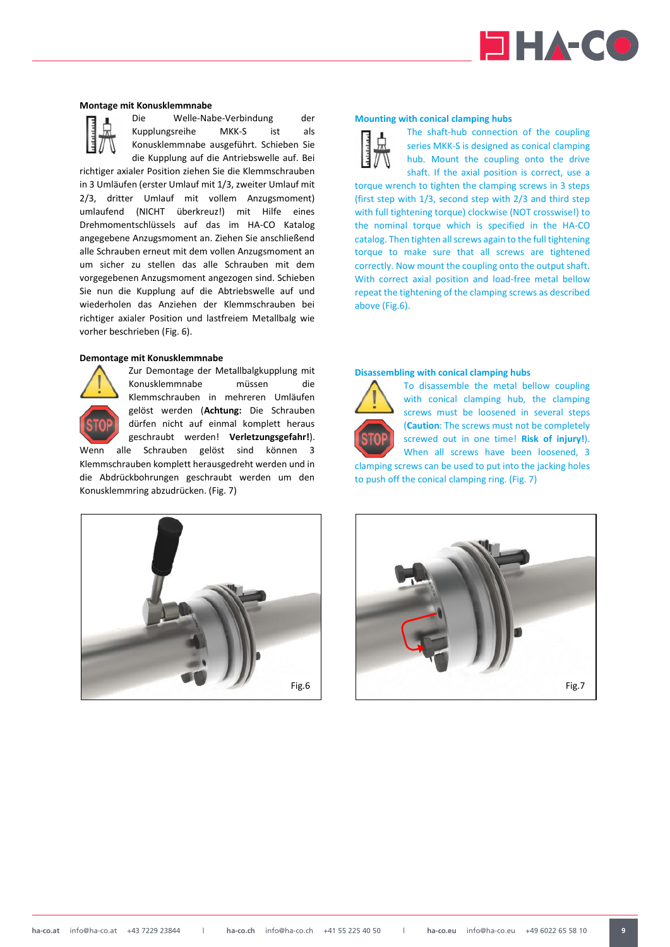

#### <span id="page-8-0"></span>**Montage mit Konusklemmnabe**



Die Welle-Nabe-Verbindung der Kupplungsreihe MKK-S ist als Konusklemmnabe ausgeführt. Schieben Sie die Kupplung auf die Antriebswelle auf. Bei

richtiger axialer Position ziehen Sie die Klemmschrauben in 3 Umläufen (erster Umlauf mit 1/3, zweiter Umlauf mit 2/3, dritter Umlauf mit vollem Anzugsmoment) umlaufend (NICHT überkreuz!) mit Hilfe eines Drehmomentschlüssels auf das im HA-CO Katalog angegebene Anzugsmoment an. Ziehen Sie anschließend alle Schrauben erneut mit dem vollen Anzugsmoment an um sicher zu stellen das alle Schrauben mit dem vorgegebenen Anzugsmoment angezogen sind. Schieben Sie nun die Kupplung auf die Abtriebswelle auf und wiederholen das Anziehen der Klemmschrauben bei richtiger axialer Position und lastfreiem Metallbalg wie vorher beschrieben (Fig. 6).

#### <span id="page-8-1"></span>**Demontage mit Konusklemmnabe**



Zur Demontage der Metallbalgkupplung mit Konusklemmnabe müssen die Klemmschrauben in mehreren Umläufen gelöst werden (**Achtung:** Die Schrauben dürfen nicht auf einmal komplett heraus geschraubt werden! **Verletzungsgefahr!**).

Wenn alle Schrauben gelöst sind können 3 Klemmschrauben komplett herausgedreht werden und in die Abdrückbohrungen geschraubt werden um den Konusklemmring abzudrücken. (Fig. 7)

### **Mounting with conical clamping hubs**

The shaft-hub connection of the coupling series MKK-S is designed as conical clamping hub. Mount the coupling onto the drive shaft. If the axial position is correct, use a

torque wrench to tighten the clamping screws in 3 steps (first step with 1/3, second step with 2/3 and third step with full tightening torque) clockwise (NOT crosswise!) to the nominal torque which is specified in the HA-CO catalog. Then tighten all screws again to the full tightening torque to make sure that all screws are tightened correctly. Now mount the coupling onto the output shaft. With correct axial position and load-free metal bellow repeat the tightening of the clamping screws as described above (Fig.6).

#### **Disassembling with conical clamping hubs**



To disassemble the metal bellow coupling with conical clamping hub, the clamping screws must be loosened in several steps (**Caution**: The screws must not be completely screwed out in one time! **Risk of injury!**). When all screws have been loosened, 3

clamping screws can be used to put into the jacking holes to push off the conical clamping ring. (Fig. 7)



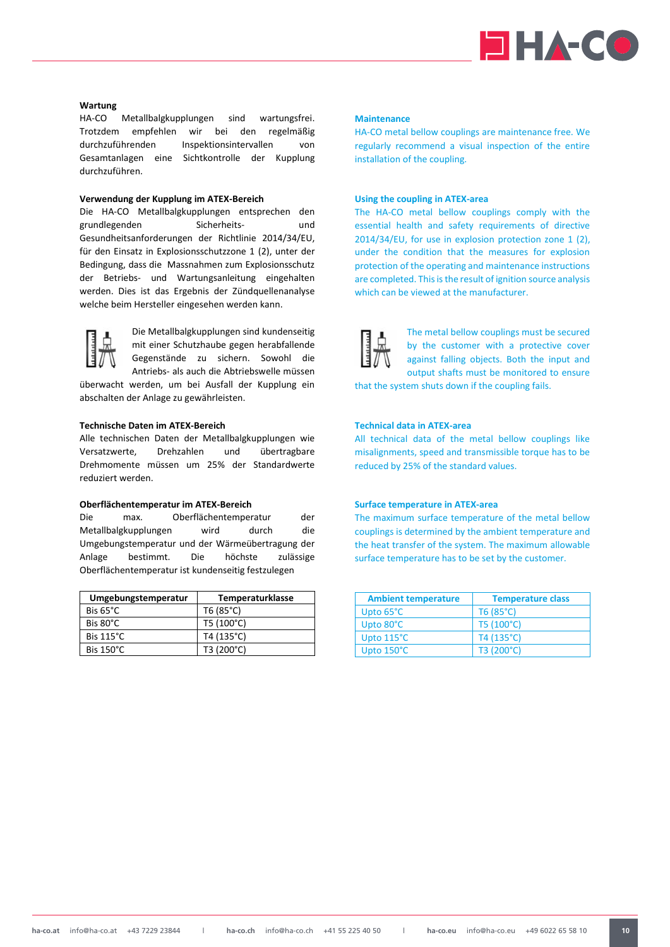

# <span id="page-9-0"></span>**Wartung**

HA-CO Metallbalgkupplungen sind wartungsfrei. Trotzdem empfehlen wir bei den regelmäßig durchzuführenden Inspektionsintervallen von Gesamtanlagen eine Sichtkontrolle der Kupplung durchzuführen.

### <span id="page-9-1"></span>**Verwendung der Kupplung im ATEX-Bereich**

Die HA-CO Metallbalgkupplungen entsprechen den grundlegenden Sicherheits- und Gesundheitsanforderungen der Richtlinie 2014/34/EU, für den Einsatz in Explosionsschutzzone 1 (2), unter der Bedingung, dass die Massnahmen zum Explosionsschutz der Betriebs- und Wartungsanleitung eingehalten werden. Dies ist das Ergebnis der Zündquellenanalyse welche beim Hersteller eingesehen werden kann.



Die Metallbalgkupplungen sind kundenseitig mit einer Schutzhaube gegen herabfallende Gegenstände zu sichern. Sowohl die Antriebs- als auch die Abtriebswelle müssen

überwacht werden, um bei Ausfall der Kupplung ein abschalten der Anlage zu gewährleisten.

# <span id="page-9-2"></span>**Technische Daten im ATEX-Bereich**

Alle technischen Daten der Metallbalgkupplungen wie Versatzwerte, Drehzahlen und übertragbare Drehmomente müssen um 25% der Standardwerte reduziert werden.

## <span id="page-9-3"></span>**Oberflächentemperatur im ATEX-Bereich**

Die max. Oberflächentemperatur der Metallbalgkupplungen wird durch die Umgebungstemperatur und der Wärmeübertragung der Anlage bestimmt. Die höchste zulässige Oberflächentemperatur ist kundenseitig festzulegen

| Umgebungstemperatur | <b>Temperaturklasse</b> |
|---------------------|-------------------------|
| Bis $65^{\circ}$ C  | T6 (85°C)               |
| Bis 80°C            | T5 (100°C)              |
| Bis 115°C           | T4 (135°C)              |
| Bis 150°C           | T3 (200°C)              |

# **Maintenance**

HA-CO metal bellow couplings are maintenance free. We regularly recommend a visual inspection of the entire installation of the coupling.

# **Using the coupling in ATEX-area**

The HA-CO metal bellow couplings comply with the essential health and safety requirements of directive 2014/34/EU, for use in explosion protection zone 1 (2), under the condition that the measures for explosion protection of the operating and maintenance instructions are completed. This is the result of ignition source analysis which can be viewed at the manufacturer.



The metal bellow couplings must be secured by the customer with a protective cover against falling objects. Both the input and output shafts must be monitored to ensure

that the system shuts down if the coupling fails.

# **Technical data in ATEX-area**

All technical data of the metal bellow couplings like misalignments, speed and transmissible torque has to be reduced by 25% of the standard values.

#### **Surface temperature in ATEX-area**

The maximum surface temperature of the metal bellow couplings is determined by the ambient temperature and the heat transfer of the system. The maximum allowable surface temperature has to be set by the customer.

| <b>Ambient temperature</b> | <b>Temperature class</b> |
|----------------------------|--------------------------|
| Upto 65°C                  | T6(85°C)                 |
| Upto 80°C                  | T5 (100°C)               |
| Upto 115°C                 | T4 (135°C)               |
| Upto 150°C                 | T3 (200°C)               |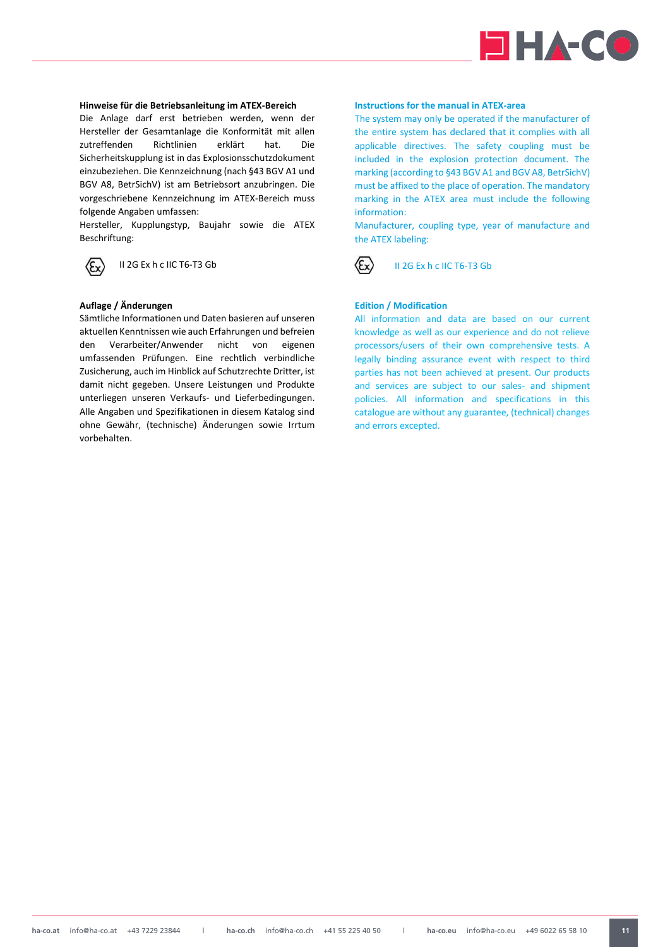

# <span id="page-10-0"></span>**Hinweise für die Betriebsanleitung im ATEX-Bereich**

Die Anlage darf erst betrieben werden, wenn der Hersteller der Gesamtanlage die Konformität mit allen zutreffenden Richtlinien erklärt hat. Die Sicherheitskupplung ist in das Explosionsschutzdokument einzubeziehen. Die Kennzeichnung (nach §43 BGV A1 und BGV A8, BetrSichV) ist am Betriebsort anzubringen. Die vorgeschriebene Kennzeichnung im ATEX-Bereich muss folgende Angaben umfassen:

Hersteller, Kupplungstyp, Baujahr sowie die ATEX Beschriftung:

Ex)

# II 2G Ex h c IIC T6-T3 Gb

# <span id="page-10-1"></span>**Auflage / Änderungen**

Sämtliche Informationen und Daten basieren auf unseren aktuellen Kenntnissen wie auch Erfahrungen und befreien den Verarbeiter/Anwender nicht von eigenen umfassenden Prüfungen. Eine rechtlich verbindliche Zusicherung, auch im Hinblick auf Schutzrechte Dritter, ist damit nicht gegeben. Unsere Leistungen und Produkte unterliegen unseren Verkaufs- und Lieferbedingungen. Alle Angaben und Spezifikationen in diesem Katalog sind ohne Gewähr, (technische) Änderungen sowie Irrtum vorbehalten.

# **Instructions for the manual in ATEX-area**

The system may only be operated if the manufacturer of the entire system has declared that it complies with all applicable directives. The safety coupling must be included in the explosion protection document. The marking (according to §43 BGV A1 and BGV A8, BetrSichV) must be affixed to the place of operation. The mandatory marking in the ATEX area must include the following information:

Manufacturer, coupling type, year of manufacture and the ATEX labeling:



### II 2G Ex h c IIC T6-T3 Gb

# **Edition / Modification**

All information and data are based on our current knowledge as well as our experience and do not relieve processors/users of their own comprehensive tests. A legally binding assurance event with respect to third parties has not been achieved at present. Our products and services are subject to our sales- and shipment policies. All information and specifications in this catalogue are without any guarantee, (technical) changes and errors excepted.